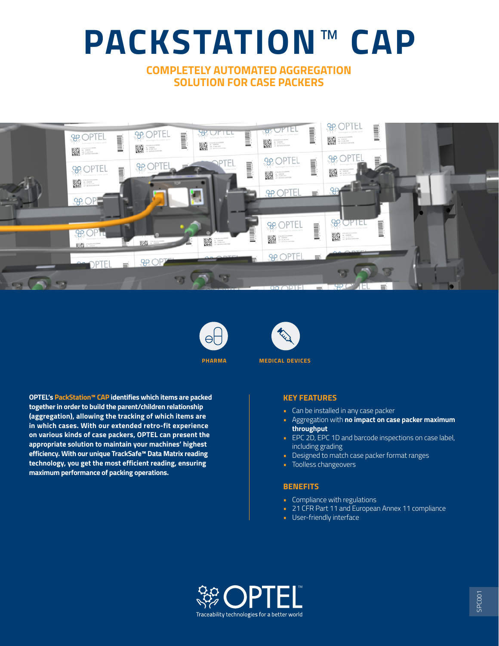# **PACKSTATION**™ **CAP**

# **COMPLETELY AUTOMATED AGGREGATION SOLUTION FOR CASE PACKERS**







**pharma medical devices**

**OPTEL's PackStation™ CAP identifies which items are packed together in order to build the parent/children relationship (aggregation), allowing the tracking of which items are in which cases. With our extended retro-fit experience on various kinds of case packers, OPTEL can present the appropriate solution to maintain your machines' highest efficiency. With our unique TrackSafe™ Data Matrix reading technology, you get the most efficient reading, ensuring maximum performance of packing operations.** 

### **KEY FEATURES**

- Can be installed in any case packer
- Aggregation with **no impact on case packer maximum throughput**
- EPC 2D, EPC 1D and barcode inspections on case label, including grading
- Designed to match case packer format ranges
- Toolless changeovers

### **BENEFITS**

- Compliance with regulations
- 21 CFR Part 11 and European Annex 11 compliance
- User-friendly interface

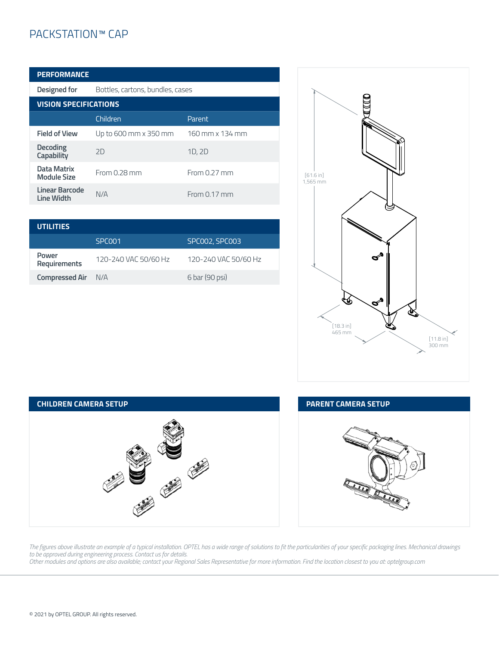# PACKSTATION™ CAP

| <b>PERFORMANCE</b>                  |                                  |                 |  |  |
|-------------------------------------|----------------------------------|-----------------|--|--|
| Designed for                        | Bottles, cartons, bundles, cases |                 |  |  |
| <b>VISION SPECIFICATIONS</b>        |                                  |                 |  |  |
|                                     | Children                         | Parent          |  |  |
| <b>Field of View</b>                | Up to 600 mm x 350 mm            | 160 mm x 134 mm |  |  |
| Decoding<br>Capability              | 2D                               | 1D, 2D          |  |  |
| Data Matrix<br><b>Module Size</b>   | From 0.28 mm                     | From 0.27 mm    |  |  |
| Linear Barcode<br><b>Line Width</b> | N/A                              | From 0.17 mm    |  |  |

| <b>UTILITIES</b>          |                      |                      |
|---------------------------|----------------------|----------------------|
|                           | SPC <sub>001</sub>   | SPC002, SPC003       |
| Power<br>Requirements     | 120-240 VAC 50/60 Hz | 120-240 VAC 50/60 Hz |
| <b>Compressed Air</b> N/A |                      | 6 bar (90 psi)       |





## MERA SETUP

N-



HEAD OFFICE - www.optelgroup.com

*The figures above illustrate an example of a typical installation. OPTEL has a wide range of solutions to fit the particularities of your specific packaging lines. Mechanical drawings to be approved during engineering process. Contact us for details.*

*Other modules and options are also available; contact your Regional Sales Representative for more information. Find the location closest to you at: optelgroup.com*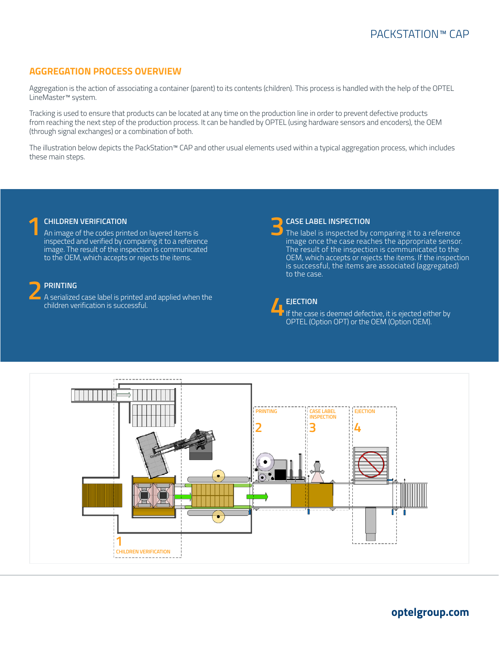# **AGGREGATION PROCESS OVERVIEW**

Aggregation is the action of associating a container (parent) to its contents (children). This process is handled with the help of the OPTEL LineMaster™ system.

Tracking is used to ensure that products can be located at any time on the production line in order to prevent defective products from reaching the next step of the production process. It can be handled by OPTEL (using hardware sensors and encoders), the OEM (through signal exchanges) or a combination of both.

The illustration below depicts the PackStation™ CAP and other usual elements used within a typical aggregation process, which includes these main steps.

**1CHILDREN VERIFICATION**<br>An image of the codes printed on layered items is<br>increased and verified by comparing it to a referen inspected and verified by comparing it to a reference image. The result of the inspection is communicated to the OEM, which accepts or rejects the items.

**2 PRINTING** A serialized case label is printed and applied when the children verification is successful.

**3CASE LABEL INSPECTION**<br>The label is inspected by comparing it to a reference<br>image anse the sase reaches the appropriate sensor image once the case reaches the appropriate sensor. The result of the inspection is communicated to the OEM, which accepts or rejects the items. If the inspection is successful, the items are associated (aggregated) to the case.

**4EJECTION**<br>If the case is deemed defective, it is ejected either by<br>ONTEL (Option OPT) or the OFM (Option OFM) OPTEL (Option OPT) or the OEM (Option OEM).



# **optelgroup.com**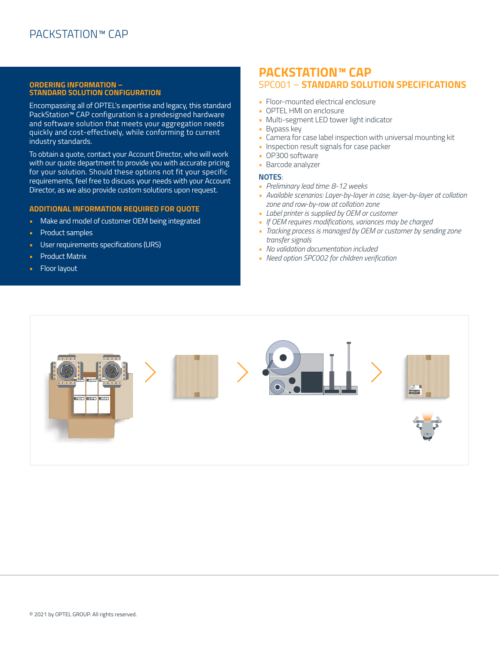### **ORDERING INFORMATION – STANDARD SOLUTION CONFIGURATION**

Encompassing all of OPTEL's expertise and legacy, this standard PackStation™ CAP configuration is a predesigned hardware and software solution that meets your aggregation needs quickly and cost-effectively, while conforming to current industry standards.

To obtain a quote, contact your Account Director, who will work with our quote department to provide you with accurate pricing for your solution. Should these options not fit your specific requirements, feel free to discuss your needs with your Account Director, as we also provide custom solutions upon request.

### **ADDITIONAL INFORMATION REQUIRED FOR QUOTE**

- Make and model of customer OEM being integrated
- Product samples
- User requirements specifications (URS)
- Product Matrix
- Floor layout

# **PACKSTATION™ CAP** SPC001 – **STANDARD SOLUTION SPECIFICATIONS**

- Floor-mounted electrical enclosure
- OPTEL HMI on enclosure
- Multi-segment LED tower light indicator
- Bypass key
- Camera for case label inspection with universal mounting kit
- Inspection result signals for case packer
- OP300 software
- Barcode analyzer

### **NOTES**:

- *Preliminary lead time: 8-12 weeks*
- *Available scenarios: Layer-by-layer in case, layer-by-layer at collation zone and row-by-row at collation zone*
- *Label printer is supplied by OEM or customer*
- *If OEM requires modifications, variances may be charged*
- *Tracking process is managed by OEM or customer by sending zone transfer signals*
- *No validation documentation included*
- *Need option SPC002 for children verification*